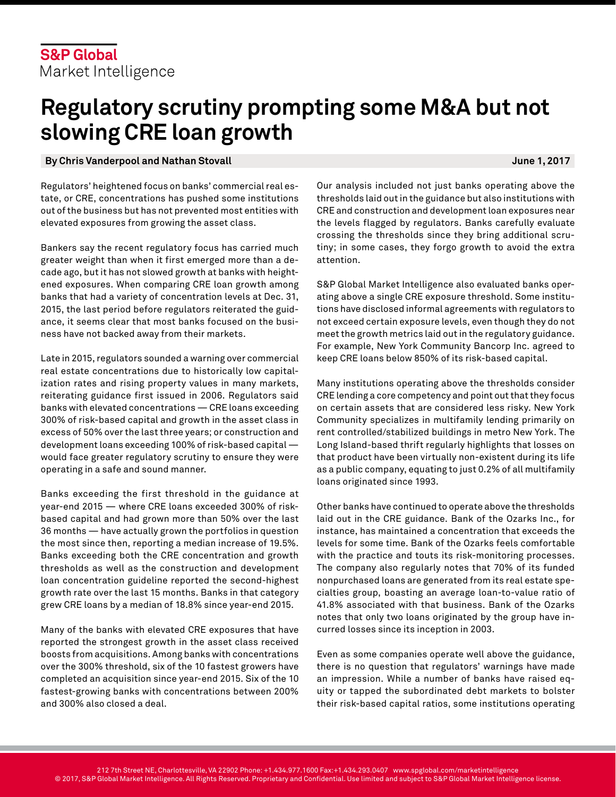# **Regulatory scrutiny prompting some M&A but not slowing CRE loan growth**

### **By Chris Vanderpool and Nathan Stovall June 1, 2017**

Regulators' heightened focus on banks' commercial real estate, or CRE, concentrations has pushed some institutions out of the business but has not prevented most entities with elevated exposures from growing the asset class.

Bankers say the recent regulatory focus has carried much greater weight than when it first emerged more than a decade ago, but it has not slowed growth at banks with heightened exposures. When comparing CRE loan growth among banks that had a variety of concentration levels at Dec. 31, 2015, the last period before regulators reiterated the guidance, it seems clear that most banks focused on the business have not backed away from their markets.

Late in 2015, regulators sounded a warning over commercial real estate concentrations due to historically low capitalization rates and rising property values in many markets, reiterating guidance first issued in 2006. Regulators said banks with elevated concentrations — CRE loans exceeding 300% of risk-based capital and growth in the asset class in excess of 50% over the last three years; or construction and development loans exceeding 100% of risk-based capital would face greater regulatory scrutiny to ensure they were operating in a safe and sound manner.

Banks exceeding the first threshold in the guidance at year-end 2015 — where CRE loans exceeded 300% of riskbased capital and had grown more than 50% over the last 36 months — have actually grown the portfolios in question the most since then, reporting a median increase of 19.5%. Banks exceeding both the CRE concentration and growth thresholds as well as the construction and development loan concentration guideline reported the second-highest growth rate over the last 15 months. Banks in that category grew CRE loans by a median of 18.8% since year-end 2015.

Many of the banks with elevated CRE exposures that have reported the strongest growth in the asset class received boosts from acquisitions. Among banks with concentrations over the 300% threshold, six of the 10 fastest growers have completed an acquisition since year-end 2015. Six of the 10 fastest-growing banks with concentrations between 200% and 300% also closed a deal.

Our analysis included not just banks operating above the thresholds laid out in the guidance but also institutions with CRE and construction and development loan exposures near the levels flagged by regulators. Banks carefully evaluate crossing the thresholds since they bring additional scrutiny; in some cases, they forgo growth to avoid the extra attention.

S&P Global Market Intelligence also evaluated banks operating above a single CRE exposure threshold. Some institutions have disclosed informal agreements with regulators to not exceed certain exposure levels, even though they do not meet the growth metrics laid out in the regulatory guidance. For example, New York Community Bancorp Inc. agreed to keep CRE loans below 850% of its risk-based capital.

Many institutions operating above the thresholds consider CRE lending a core competency and point out that they focus on certain assets that are considered less risky. New York Community specializes in multifamily lending primarily on rent controlled/stabilized buildings in metro New York. The Long Island-based thrift regularly highlights that losses on that product have been virtually non-existent during its life as a public company, equating to just 0.2% of all multifamily loans originated since 1993.

Other banks have continued to operate above the thresholds laid out in the CRE guidance. Bank of the Ozarks Inc., for instance, has maintained a concentration that exceeds the levels for some time. Bank of the Ozarks feels comfortable with the practice and touts its risk-monitoring processes. The company also regularly notes that 70% of its funded nonpurchased loans are generated from its real estate specialties group, boasting an average loan-to-value ratio of 41.8% associated with that business. Bank of the Ozarks notes that only two loans originated by the group have incurred losses since its inception in 2003.

Even as some companies operate well above the guidance, there is no question that regulators' warnings have made an impression. While a number of banks have raised equity or tapped the subordinated debt markets to bolster their risk-based capital ratios, some institutions operating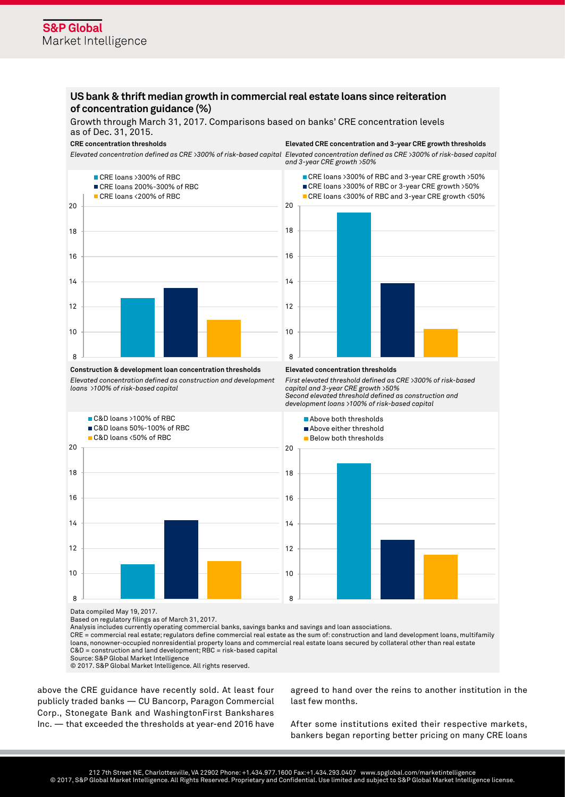## **US bank & thrift median growth in commercial real estate loans since reiteration of concentration guidance (%)**

Growth through March 31, 2017. Comparisons based on banks' CRE concentration levels as of Dec. 31, 2015.

*Elevated concentration defined as CRE >300% of risk-based capital Elevated concentration defined as CRE >300% of risk-based capital* 



**CRE concentration thresholds Elevated CRE concentration and 3-year CRE growth thresholds**

*and 3-year CRE growth >50%*



*First elevated threshold defined as CRE >300% of risk-based* 

*capital and 3-year CRE growth >50%*

#### **Construction & development loan concentration thresholds Elevated concentration thresholds**

*Elevated concentration defined as construction and development loans >100% of risk-based capital*



Based on regulatory filings as of March 31, 2017.

Analysis includes currently operating commercial banks, savings banks and savings and loan associations.

CRE = commercial real estate; regulators define commercial real estate as the sum of: construction and land development loans, multifamily loans, nonowner-occupied nonresidential property loans and commercial real estate loans secured by collateral other than real estate C&D = construction and land development; RBC = risk-based capital

Source: S&P Global Market Intelligence

© 2017. S&P Global Market Intelligence. All rights reserved.

above the CRE guidance have recently sold. At least four publicly traded banks — CU Bancorp, Paragon Commercial Corp., Stonegate Bank and WashingtonFirst Bankshares Inc. — that exceeded the thresholds at year-end 2016 have

agreed to hand over the reins to another institution in the last few months.

After some institutions exited their respective markets, bankers began reporting better pricing on many CRE loans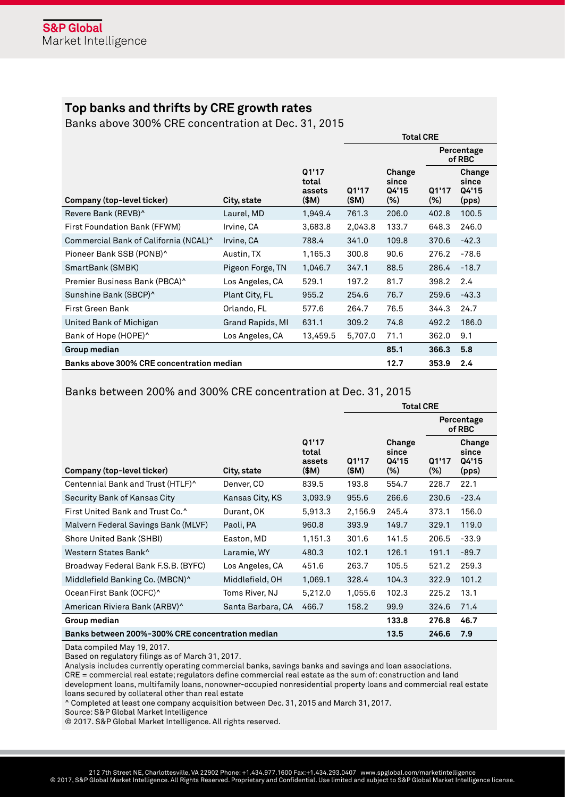# **Top banks and thrifts by CRE growth rates**

Banks above 300% CRE concentration at Dec. 31, 2015

|                                           |                  |                                   | <b>Total CRE</b> |                                    |                      |                                   |
|-------------------------------------------|------------------|-----------------------------------|------------------|------------------------------------|----------------------|-----------------------------------|
|                                           |                  |                                   |                  |                                    | Percentage<br>of RBC |                                   |
| Company (top-level ticker)                | City, state      | Q1'17<br>total<br>assets<br>(\$M) | Q1'17<br>(\$M)   | Change<br>since<br>Q4'15<br>$(\%)$ | Q1'17<br>$(\%)$      | Change<br>since<br>Q4'15<br>(pps) |
| Revere Bank (REVB)^                       | Laurel, MD       | 1,949.4                           | 761.3            | 206.0                              | 402.8                | 100.5                             |
| First Foundation Bank (FFWM)              | Irvine, CA       | 3,683.8                           | 2,043.8          | 133.7                              | 648.3                | 246.0                             |
| Commercial Bank of California (NCAL)^     | Irvine, CA       | 788.4                             | 341.0            | 109.8                              | 370.6                | $-42.3$                           |
| Pioneer Bank SSB (PONB)^                  | Austin, TX       | 1,165.3                           | 300.8            | 90.6                               | 276.2                | $-78.6$                           |
| SmartBank (SMBK)                          | Pigeon Forge, TN | 1,046.7                           | 347.1            | 88.5                               | 286.4                | $-18.7$                           |
| Premier Business Bank (PBCA)^             | Los Angeles, CA  | 529.1                             | 197.2            | 81.7                               | 398.2                | 2.4                               |
| Sunshine Bank (SBCP)^                     | Plant City, FL   | 955.2                             | 254.6            | 76.7                               | 259.6                | $-43.3$                           |
| First Green Bank                          | Orlando, FL      | 577.6                             | 264.7            | 76.5                               | 344.3                | 24.7                              |
| United Bank of Michigan                   | Grand Rapids, MI | 631.1                             | 309.2            | 74.8                               | 492.2                | 186.0                             |
| Bank of Hope (HOPE)^                      | Los Angeles, CA  | 13,459.5                          | 5,707.0          | 71.1                               | 362.0                | 9.1                               |
| Group median                              |                  |                                   |                  | 85.1                               | 366.3                | 5.8                               |
| Banks above 300% CRE concentration median |                  |                                   |                  | 12.7                               | 353.9                | 2.4                               |

# Banks between 200% and 300% CRE concentration at Dec. 31, 2015

|                                                  |                   |                                   | <b>Total CRE</b> |                                    |                 |                                   |
|--------------------------------------------------|-------------------|-----------------------------------|------------------|------------------------------------|-----------------|-----------------------------------|
|                                                  |                   |                                   |                  | Percentage<br>of RBC               |                 |                                   |
| Company (top-level ticker)                       | City, state       | Q1'17<br>total<br>assets<br>(\$M) | Q1'17<br>(\$M)   | Change<br>since<br>Q4'15<br>$(\%)$ | Q1'17<br>$(\%)$ | Change<br>since<br>Q4'15<br>(pps) |
| Centennial Bank and Trust (HTLF)^                | Denver, CO        | 839.5                             | 193.8            | 554.7                              | 228.7           | 22.1                              |
| Security Bank of Kansas City                     | Kansas City, KS   | 3,093.9                           | 955.6            | 266.6                              | 230.6           | $-23.4$                           |
| First United Bank and Trust Co.^                 | Durant, OK        | 5,913.3                           | 2,156.9          | 245.4                              | 373.1           | 156.0                             |
| Malvern Federal Savings Bank (MLVF)              | Paoli, PA         | 960.8                             | 393.9            | 149.7                              | 329.1           | 119.0                             |
| Shore United Bank (SHBI)                         | Easton, MD        | 1,151.3                           | 301.6            | 141.5                              | 206.5           | $-33.9$                           |
| Western States Bank^                             | Laramie, WY       | 480.3                             | 102.1            | 126.1                              | 191.1           | $-89.7$                           |
| Broadway Federal Bank F.S.B. (BYFC)              | Los Angeles, CA   | 451.6                             | 263.7            | 105.5                              | 521.2           | 259.3                             |
| Middlefield Banking Co. (MBCN)^                  | Middlefield, OH   | 1,069.1                           | 328.4            | 104.3                              | 322.9           | 101.2                             |
| OceanFirst Bank (OCFC)^                          | Toms River, NJ    | 5,212.0                           | 1,055.6          | 102.3                              | 225.2           | 13.1                              |
| American Riviera Bank (ARBV)^                    | Santa Barbara, CA | 466.7                             | 158.2            | 99.9                               | 324.6           | 71.4                              |
| Group median                                     |                   |                                   |                  | 133.8                              | 276.8           | 46.7                              |
| Banks between 200%-300% CRE concentration median |                   |                                   |                  | 13.5                               | 246.6           | 7.9                               |

Data compiled May 19, 2017.

Based on regulatory filings as of March 31, 2017.

Analysis includes currently operating commercial banks, savings banks and savings and loan associations.

CRE = commercial real estate; regulators define commercial real estate as the sum of: construction and land

development loans, multifamily loans, nonowner-occupied nonresidential property loans and commercial real estate loans secured by collateral other than real estate

^ Completed at least one company acquisition between Dec. 31, 2015 and March 31, 2017.

Source: S&P Global Market Intelligence

© 2017. S&P Global Market Intelligence. All rights reserved.